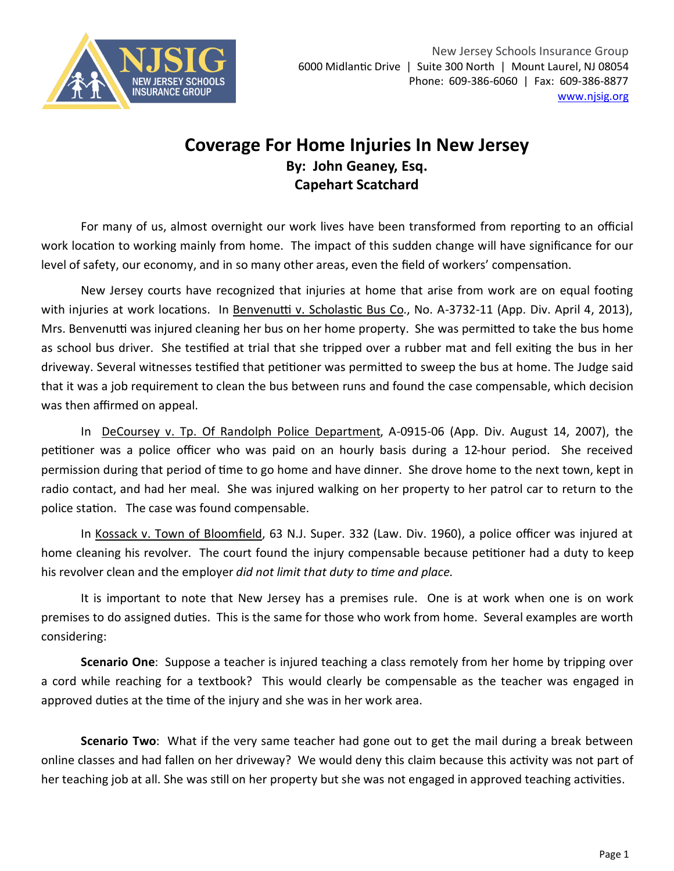

## **Coverage For Home Injuries In New Jersey By: John Geaney, Esq. Capehart Scatchard**

For many of us, almost overnight our work lives have been transformed from reporting to an official work location to working mainly from home. The impact of this sudden change will have significance for our level of safety, our economy, and in so many other areas, even the field of workers' compensation.

New Jersey courts have recognized that injuries at home that arise from work are on equal footing with injuries at work locations. In Benvenutti v. Scholastic Bus Co., No. A-3732-11 (App. Div. April 4, 2013), Mrs. Benvenutti was injured cleaning her bus on her home property. She was permitted to take the bus home as school bus driver. She testified at trial that she tripped over a rubber mat and fell exiting the bus in her driveway. Several witnesses testified that petitioner was permitted to sweep the bus at home. The Judge said that it was a job requirement to clean the bus between runs and found the case compensable, which decision was then affirmed on appeal.

In DeCoursey v. Tp. Of Randolph Police Department, A-0915-06 (App. Div. August 14, 2007), the petitioner was a police officer who was paid on an hourly basis during a 12-hour period. She received permission during that period of time to go home and have dinner. She drove home to the next town, kept in radio contact, and had her meal. She was injured walking on her property to her patrol car to return to the police station. The case was found compensable.

In Kossack v. Town of Bloomfield, 63 N.J. Super. 332 (Law. Div. 1960), a police officer was injured at home cleaning his revolver. The court found the injury compensable because petitioner had a duty to keep his revolver clean and the employer *did not limit that duty to time and place*.

It is important to note that New Jersey has a premises rule. One is at work when one is on work premises to do assigned duties. This is the same for those who work from home. Several examples are worth considering:

**Scenario One**: Suppose a teacher is injured teaching a class remotely from her home by tripping over a cord while reaching for a textbook? This would clearly be compensable as the teacher was engaged in approved duties at the time of the injury and she was in her work area.

**Scenario Two**: What if the very same teacher had gone out to get the mail during a break between online classes and had fallen on her driveway? We would deny this claim because this activity was not part of her teaching job at all. She was still on her property but she was not engaged in approved teaching activities.